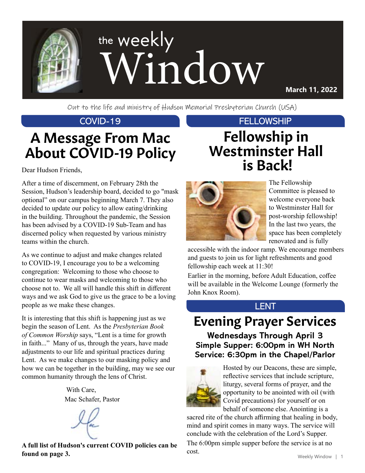

**March 11, 2022**

Out to the life and ministry of Hudson Memorial Presbyterian Church (USA)

# A Message From Mac About COVID-19 Policy

Dear Hudson Friends,

After a time of discernment, on February 28th the Session, Hudson's leadership board, decided to go "mask optional" on our campus beginning March 7. They also decided to update our policy to allow eating/drinking in the building. Throughout the pandemic, the Session has been advised by a COVID-19 Sub-Team and has discerned policy when requested by various ministry teams within the church.

As we continue to adjust and make changes related to COVID-19, I encourage you to be a welcoming congregation: Welcoming to those who choose to continue to wear masks and welcoming to those who choose not to. We all will handle this shift in different ways and we ask God to give us the grace to be a loving people as we make these changes.

It is interesting that this shift is happening just as we begin the season of Lent. As the *Presbyterian Book of Common Worship* says, "Lent is a time for growth in faith..." Many of us, through the years, have made adjustments to our life and spiritual practices during Lent. As we make changes to our masking policy and how we can be together in the building, may we see our common humanity through the lens of Christ.

> With Care, Mac Schafer, Pastor

**A full list of Hudson's current COVID policies can be found on page 3.**

### COVID-19 FELLOWSHIP

## Fellowship in Westminster Hall is Back!



The Fellowship Committee is pleased to welcome everyone back to Westminster Hall for post-worship fellowship! In the last two years, the space has been completely renovated and is fully

accessible with the indoor ramp. We encourage members and guests to join us for light refreshments and good fellowship each week at 11:30!

Earlier in the morning, before Adult Education, coffee will be available in the Welcome Lounge (formerly the John Knox Room).

#### LENT

# Evening Prayer Services

**Wednesdays Through April 3 Simple Supper: 6:00pm in WH North Service: 6:30pm in the Chapel/Parlor**



Hosted by our Deacons, these are simple, reflective services that include scripture, liturgy, several forms of prayer, and the opportunity to be anointed with oil (with Covid precautions) for yourself or on behalf of someone else. Anointing is a

sacred rite of the church affirming that healing in body, mind and spirit comes in many ways. The service will conclude with the celebration of the Lord's Supper. The 6:00pm simple supper before the service is at no cost.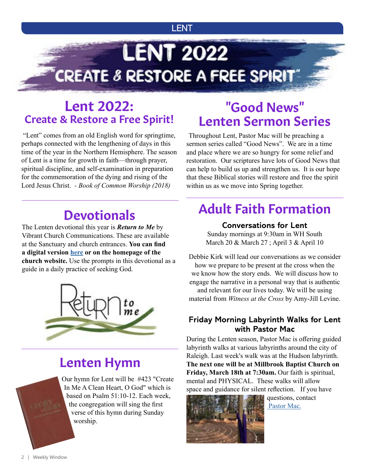#### LENT

# **LENT 2022** CREATE & RESTORE A FREE SPIRIT"

### Lent 2022: Create & Restore a Free Spirit!

"Lent" comes from an old English word for springtime, perhaps connected with the lengthening of days in this time of the year in the Northern Hemisphere. The season of Lent is a time for growth in faith—through prayer, spiritual discipline, and self-examination in preparation for the commemoration of the dying and rising of the Lord Jesus Christ. *- Book of Common Worship (2018)*

# **Devotionals**

The Lenten devotional this year is *Return to Me* by Vibrant Church Communications. These are available at the Sanctuary and church entrances. **You can find a digital version [here](https://www.hmpc.org/_files/ugd/c7995e_12441d10d4b94b7d88d05b7bd79edeeb.pdf) or on the homepage of the church website.** Use the prompts in this devotional as a guide in a daily practice of seeking God.



### Lenten Hymn

Our hymn for Lent will be #423 "Create In Me A Clean Heart, O God" which is based on Psalm 51:10-12. Each week, the congregation will sing the first verse of this hymn during Sunday worship.

## "Good News" Lenten Sermon Series

Throughout Lent, Pastor Mac will be preaching a sermon series called "Good News". We are in a time and place where we are so hungry for some relief and restoration. Our scriptures have lots of Good News that can help to build us up and strengthen us. It is our hope that these Biblical stories will restore and free the spirit within us as we move into Spring together.

# Adult Faith Formation

#### **Conversations for Lent**

Sunday mornings at 9:30am in WH South March 20 & March 27 ; April 3 & April 10

Debbie Kirk will lead our conversations as we consider how we prepare to be present at the cross when the we know how the story ends. We will discuss how to engage the narrative in a personal way that is authentic and relevant for our lives today. We will be using material from *Witness at the Cross* by Amy-Jill Levine.

#### **Friday Morning Labyrinth Walks for Lent with Pastor Mac**

During the Lenten season, Pastor Mac is offering guided labyrinth walks at various labyrinths around the city of Raleigh. Last week's walk was at the Hudson labyrinth. **The next one will be at Millbrook Baptist Church on**  Friday, March 18th at 7:30am. Our faith is spiritual, mental and PHYSICAL. These walks will allow space and guidance for silent reflection. If you have



questions, contact  [Pastor Mac.](mailto:mschafer%40hmpc.org?subject=)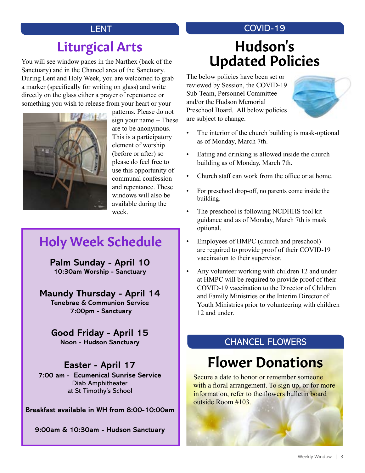## Liturgical Arts

You will see window panes in the Narthex (back of the Sanctuary) and in the Chancel area of the Sanctuary. During Lent and Holy Week, you are welcomed to grab a marker (specifically for writing on glass) and write directly on the glass either a prayer of repentance or something you wish to release from your heart or your



patterns. Please do not sign your name -- These are to be anonymous. This is a participatory element of worship (before or after) so please do feel free to use this opportunity of communal confession and repentance. These windows will also be available during the week.

### Holy Week Schedule

**Palm Sunday - April 10 10:30am Worship - Sanctuary**

#### **Maundy Thursday - April 14**

**Tenebrae & Communion Service 7:00pm - Sanctuary**

### **Good Friday - April 15**

**Noon - Hudson Sanctuary**

#### **Easter - April 17**

**7:00 am - Ecumenical Sunrise Service** Diab Amphitheater at St Timothy's School

**Breakfast available in WH from 8:00-10:00am**

**9:00am & 10:30am - Hudson Sanctuary**

#### LENT COVID-19

# Hudson's Updated Policies

The below policies have been set or reviewed by Session, the COVID-19 Sub-Team, Personnel Committee and/or the Hudson Memorial Preschool Board. All below policies are subject to change.



- The interior of the church building is mask-optional as of Monday, March 7th.
- Eating and drinking is allowed inside the church building as of Monday, March 7th.
- Church staff can work from the office or at home.
- For preschool drop-off, no parents come inside the building.
- The preschool is following NCDHHS tool kit guidance and as of Monday, March 7th is mask optional.
- Employees of HMPC (church and preschool) are required to provide proof of their COVID-19 vaccination to their supervisor.
- Any volunteer working with children 12 and under at HMPC will be required to provide proof of their COVID-19 vaccination to the Director of Children and Family Ministries or the Interim Director of Youth Ministries prior to volunteering with children 12 and under.

### CHANCEL FLOWERS

# Flower Donations

Secure a date to honor or remember someone with a floral arrangement. To sign up, or for more information, refer to the flowers bulletin board outside Room #103.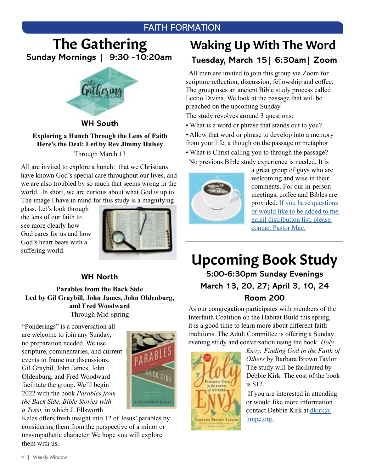### FAITH FORMATION

### The Gathering **Sunday Mornings | 9:30 -10:20am**



**WH South**

#### **Exploring a Hunch Through the Lens of Faith Here's the Deal: Led by Rev Jimmy Hulsey** Through March 13

All are invited to explore a hunch: that we Christians have known God's special care throughout our lives, and we are also troubled by so much that seems wrong in the world. In short, we are curious about what God is up to. The image I have in mind for this study is a magnifying

glass. Let's look through the lens of our faith to see more clearly how God cares for us and how God's heart beats with a suffering world.



#### **WH North**

**Parables from the Back Side Led by Gil Graybill, John James, John Oldenburg, and Fred Woodward**  Through Mid-spring

"Ponderings" is a conversation all are welcome to join any Sunday, no preparation needed. We use scripture, commentaries, and current events to frame our discussions. Gil Graybil, John James, John Oldenburg, and Fred Woodward facilitate the group. We'll begin 2022 with the book *Parables from the Back Side, Bible Stories with a Twist,* in which J. Ellsworth



Kalas offers fresh insight into 12 of Jesus' parables by considering them from the perspective of a minor or unsympathetic character. We hope you will explore them with us.

### Waking Up With The Word **Tuesday, March 15| 6:30am| Zoom**

 All men are invited to join this group via Zoom for scripture reflection, discussion, fellowship and coffee. The group uses an ancient Bible study process called Lectio Divina. We look at the passage that will be preached on the upcoming Sunday.

The study revolves around 3 questions:

• What is a word or phrase that stands out to you?

• Allow that word or phrase to develop into a memory from your life, a though on the passage or metaphor

• What is Christ calling you to through the passage? No previous Bible study experience is needed. It is



a great group of guys who are welcoming and wise in their comments. For our in-person meetings, coffee and Bibles are provided. [If you have questions](mailto:mschafer%40hmpc.org?subject=)  [or would like to be added to the](mailto:mschafer%40hmpc.org?subject=)  [email distribution list, please](mailto:mschafer%40hmpc.org?subject=)  [contact Pastor Mac.](mailto:mschafer%40hmpc.org?subject=)

Upcoming Book Study **5:00-6:30pm Sunday Evenings March 13, 20, 27; April 3, 10, 24**

#### **Room 200**

As our congregation participates with members of the Interfaith Coalition on the Habitat Build this spring, it is a good time to learn more about different faith traditions. The Adult Committee is offering a Sunday evening study and conversation using the book *Holy* 



*Envy: Finding God in the Faith of Others* by Barbara Brown Taylor. The study will be facilitated by Debbie Kirk. The cost of the book is \$12.

 If you are interested in attending or would like more information contact Debbie Kirk at [dkirk@](mailto:dkirk%40hmpc.org?subject=) [hmpc.org.](mailto:dkirk%40hmpc.org?subject=)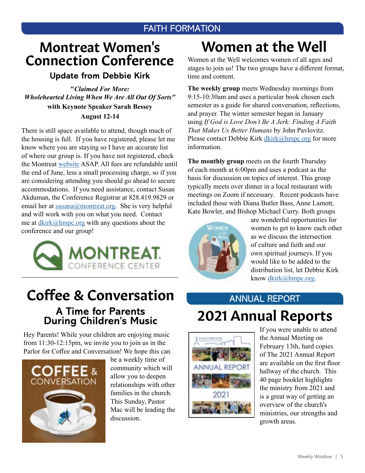### FAITH FORMATION

### Montreat Women's Connection Conference

#### **Update from Debbie Kirk**

**"***Claimed For More: Wholehearted Living When We Are All Out Of Sorts"* **with Keynote Speaker Sarah Bessey August 12-14** 

There is still space available to attend, though much of the housing is full. If you have registered, please let me know where you are staying so I have an accurate list of where our group is. If you have not registered, check the Montreat [website](https://montreat.org/events/wc-2022) ASAP. All fees are refundable until the end of June, less a small processing charge, so if you are considering attending you should go ahead to secure accommodations. If you need assistance, contact Susan Akduman, the Conference Registrar at 828.419.9829 or email her at [susana@montreat.org](mailto:susana@montreat.org). She is very helpful and will work with you on what you need. Contact me at  $\frac{dkirk(\omega)hmpc.org}{dt}$  with any questions about the conference and our group!



### Coffee & Conversation **A Time for Parents During Children's Music**

Hey Parents! While your children are enjoying music from 11:30-12:15pm, we invite you to join us in the Parlor for Coffee and Conversation! We hope this can



be a weekly time of community which will allow you to deepen relationships with other families in the church. This Sunday, Pastor Mac will be leading the discussion.

# Women at the Well

Women at the Well welcomes women of all ages and stages to join us! The two groups have a different format, time and content.

**The weekly group** meets Wednesday mornings from 9:15-10:30am and uses a particular book chosen each semester as a guide for shared conversation, reflections, and prayer. The winter semester began in January using *If God is Love Don't Be A Jerk: Finding A Faith That Makes Us Better Humans* by John Pavlovitz. Please contact Debbie Kirk [dkirk@hmpc.org](mailto:dkirk@hmpc.org) for more information.

**The monthly group** meets on the fourth Thursday of each month at 6:00pm and uses a podcast as the basis for discussion on topics of interest. This group typically meets over dinner in a local restaurant with meetings on Zoom if necessary. Recent podcasts have included those with Diana Butler Bass, Anne Lamott, Kate Bowler, and Bishop Michael Curry. Both groups



are wonderful opportunities for women to get to know each other as we discuss the intersection of culture and faith and our own spiritual journeys. If you would like to be added to the distribution list, let Debbie Kirk know [dkirk@hmpc.org.](mailto:dkirk@hmpc.org)

## ANNUAL REPORT 2021 Annual Reports



If you were unable to attend the Annual Meeting on February 13th, hard copies of The 2021 Annual Report are available on the first floor hallway of the church. This 40 page booklet highlights the ministry from 2021 and is a great way of getting an overview of the church's ministries, our strengths and growth areas.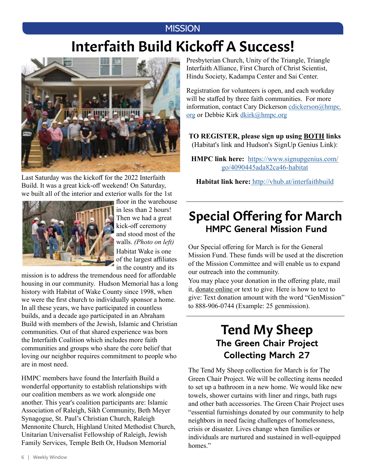### **MISSION**

# Interfaith Build Kickoff A Success!



Last Saturday was the kickoff for the 2022 Interfaith Build. It was a great kick-off weekend! On Saturday, we built all of the interior and exterior walls for the 1st



floor in the warehouse in less than 2 hours! Then we had a great kick-off ceremony and stood most of the walls. *(Photo on left)* Habitat Wake is one of the largest affiliates in the country and its

mission is to address the tremendous need for affordable housing in our community. Hudson Memorial has a long history with Habitat of Wake County since 1998, when we were the first church to individually sponsor a home. In all these years, we have participated in countless builds, and a decade ago participated in an Abraham Build with members of the Jewish, Islamic and Christian communities. Out of that shared experience was born the Interfaith Coalition which includes more faith communities and groups who share the core belief that loving our neighbor requires commitment to people who are in most need.

HMPC members have found the Interfaith Build a wonderful opportunity to establish relationships with our coalition members as we work alongside one another. This year's coalition participants are: Islamic Association of Raleigh, Sikh Community, Beth Meyer Synagogue, St. Paul's Christian Church, Raleigh Mennonite Church, Highland United Methodist Church, Unitarian Universalist Fellowship of Raleigh, Jewish Family Services, Temple Beth Or, Hudson Memorial

Presbyterian Church, Unity of the Triangle, Triangle Interfaith Alliance, First Church of Christ Scientist, Hindu Society, Kadampa Center and Sai Center.

Registration for volunteers is open, and each workday will be staffed by three faith communities. For more information, contact Cary Dickerson [cdickerson@hmpc.](mailto:cdickerson%40hmpc.org?subject=) [org](mailto:cdickerson%40hmpc.org?subject=) or Debbie Kirk [dkirk@hmpc.org](mailto:dkirk%40hmpc.org?subject=)

**TO REGISTER, please sign up using BOTH links**  (Habitat's link and Hudson's SignUp Genius Link):

**HMPC link here:** [https://www.signupgenius.com/](https://www.signupgenius.com/go/4090445ada82ca46-habitat) [go/4090445ada82ca46-habitat](https://www.signupgenius.com/go/4090445ada82ca46-habitat)

**Habitat link here:** [http://vhub.at/interfaithbuild](https://habitatwake.volunteerhub.com/lp/interfaithbuild?format=0&filter={})

### **HMPC General Mission Fund** Special Offering for March

Our Special offering for March is for the General Mission Fund. These funds will be used at the discretion of the Mission Committee and will enable us to expand our outreach into the community.

You may place your donation in the offering plate, mail it, [donate online](https://www.eservicepayments.com/cgi-bin/Vanco_ver3.vps?appver3=Fi1giPL8kwX_Oe1AO50jRnQ574HZh5kFEHVJ6e5We_Us4NSQukCYDzKLUtTTUlsf2EvVVAEjqawDomKT1pbouTsRltlX7QEmZN4jxtbsYBc=&ver=3) or text to give. Here is how to text to give: Text donation amount with the word "GenMission" to 888-906-0744 (Example: 25 genmission).

### Tend My Sheep **The Green Chair Project Collecting March 27**

The Tend My Sheep collection for March is for The Green Chair Project. We will be collecting items needed to set up a bathroom in a new home. We would like new towels, shower curtains with liner and rings, bath rugs and other bath accessories. The Green Chair Project uses "essential furnishings donated by our community to help neighbors in need facing challenges of homelessness, crisis or disaster. Lives change when families or individuals are nurtured and sustained in well-equipped homes."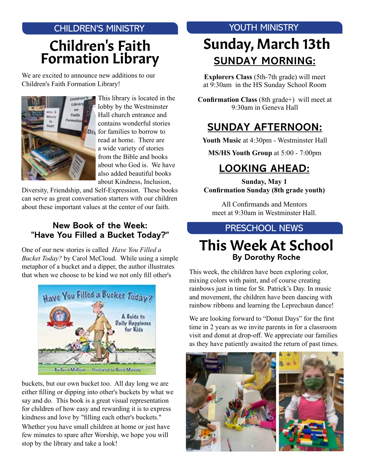### CHILDREN'S MINISTRY Children's Faith Formation Library

We are excited to announce new additions to our Children's Faith Formation Library!



This library is located in the lobby by the Westminster Hall church entrance and contains wonderful stories **D<sub>f</sub>** for families to borrow to read at home. There are a wide variety of stories from the Bible and books about who God is. We have also added beautiful books about Kindness, Inclusion,

Diversity, Friendship, and Self-Expression. These books can serve as great conversation starters with our children about these important values at the center of our faith.

#### **New Book of the Week: "Have You Filled a Bucket Today?"**

One of our new stories is called *Have You Filled a Bucket Today?* by Carol McCloud. While using a simple metaphor of a bucket and a dipper, the author illustrates that when we choose to be kind we not only fill other's



buckets, but our own bucket too. All day long we are either filling or dipping into other's buckets by what we say and do. This book is a great visual representation for children of how easy and rewarding it is to express kindness and love by "filling each other's buckets." Whether you have small children at home or just have few minutes to spare after Worship, we hope you will stop by the library and take a look!

### YOUTH MINISTRY

# Sunday, March 13th **SUNDAY MORNING:**

**Explorers Class** (5th-7th grade) will meet at 9:30am in the HS Sunday School Room

**Confirmation Class** (8th grade+) will meet at 9:30am in Geneva Hall

### **SUNDAY AFTERNOON:**

**Youth Music** at 4:30pm - Westminster Hall

**MS/HS Youth Group** at 5:00 - 7:00pm

### **LOOKING AHEAD:**

**Sunday, May 1 Confirmation Sunday (8th grade youth)**

All Confirmands and Mentors meet at 9:30am in Westminster Hall.

### PRESCHOOL NEWS

### This Week At School **By Dorothy Roche**

This week, the children have been exploring color, mixing colors with paint, and of course creating rainbows just in time for St. Patrick's Day. In music and movement, the children have been dancing with rainbow ribbons and learning the Leprechaun dance!

We are looking forward to "Donut Days" for the first time in 2 years as we invite parents in for a classroom visit and donut at drop-off. We appreciate our families as they have patiently awaited the return of past times.